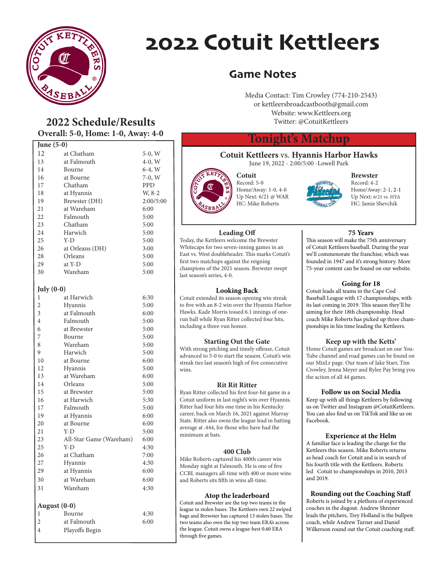

# 2022 Cotuit Kettleers

### Game Notes

Media Contact: Tim Crowley (774-210-2543) or kettleersbroadcastbooth@gmail.com Website: www.Kettleers.org Twitter: @CotuitKettleers

#### **Tonight's Matchup**

#### **Cotuit Kettleers** vs. **Hyannis Harbor Hawks** June 19, 2022 - 2:00/5:00 -Lowell Park



**Cotuit** Record: 5-0 Home/Away: 1-0, 4-0 Up Next: 6/21 @ WAR HC: Mike Roberts

## **Brewster**

**75 Years**

**Going for 18** Cotuit leads all teams in the Cape Cod Baseball League with 17 championships, with its last coming in 2019. This season they'll be aiming for their 18th championship. Head coach Mike Roberts has picked up three cham-

Record: 4-2 Home/Away: 2-1, 2-1 Up Next: 6/21 vs. HYA HC: Jamie Shevchik

#### **Leading Off**

Today, the Kettleers welcome the Brewster Whitecaps for two seven-inning games in an East vs. West doubleheader. This marks Cotuit's first two matchups against the reigning champions of the 2021 season. Brewster swept last season's series, 4-0.

#### **Looking Back**

Cotuit extended its season opening win streak to five with an 8-2 win over the Hyannis Harbor Hawks. Kade Morris tossed 6.1 innings of onerun ball while Ryan Ritter collected four hits, including a three-run homer.

#### **Starting Out the Gate**

With strong pitching and timely offense, Cotuit advanced to 5-0 to start the season. Cotuit's win streak ties last season's high of five consecutive wins.

#### **Rit Rit Ritter**

Ryan Ritter collected his first four-hit game in a Cotuit uniform in last night's win over Hyannis. Ritter had four hits one time in his Kentucky career, back on March 16, 2021 against Murray State. Ritter also owns the league lead in batting average at .444, for those who have had the minimum at bats.

#### **400 Club**

Mike Roberts captured his 400th career win Monday night at Falmouth. He is one of five CCBL managers all-time with 400 or more wins and Roberts sits fifth in wins all-time.

#### **Atop the leaderboard**

Cotuit and Brewster are the top two teams in the league in stolen bases. The Kettleers own 22 swiped bags and Brewster has captured 13 stolen bases. The two teams also own the top two team ERA's across the league. Cotuit owns a league-best 0.60 ERA through five games.

This season will make the 75th anniversary of Cotuit Kettleers baseball. During the year we'll commenorate the franchise, which was founded in 1947 and it's strong history. More 75-year content can be found on our website.

## pionships in his time leading the Kettleers.

**Keep up with the Ketts'** Home Cotuit games are broadcast on our You-Tube channel and road games can be found on our MixLr page. Our team of Jake Starr, Tim Crowley, Jenna Meyer and Rylee Pay bring you the action of all 44 games.

#### **Follow us on Social Media**

Keep up with all things Kettleers by following us on Twitter and Instagram @CotuitKettleers. You can also find us on TikTok and like us on Facebook.

#### **Experience at the Helm**

A familiar face is leading the charge for the Kettleers this season. Mike Roberts returns as head coach for Cotuit and is in search of his fourth title with the Kettleers. Roberts led Cotuit to championships in 2010, 2013 and 2019.

#### **Rounding out the Coaching Staff**

Roberts is joined by a plethora of experienced coaches in the dugout. Andrew Shreiner leads the pitchers, Trey Holland is the bullpen coach, while Andrew Turner and Daniel Wilkerson round out the Cotuit coaching staff.

### **2022 Schedule/Results Overall: 5-0, Home: 1-0, Away: 4-0**

| June (5-0)     |                         |            |  |
|----------------|-------------------------|------------|--|
| 12             | at Chatham              | 5-0, W     |  |
| 13             | at Falmouth             | $4-0, W$   |  |
| 14             | Bourne                  | $6-4, W$   |  |
| 16             | at Bourne               | $7-0, W$   |  |
| 17             | Chatham                 | <b>PPD</b> |  |
| 18             | at Hyannis              | W, 8-2     |  |
| 19             | Brewster (DH)           | 2:00/5:00  |  |
| 21             | at Wareham              | 6:00       |  |
| 22             | Falmouth                | 5:00       |  |
| 23             | Chatham                 | 5:00       |  |
| 24             | Harwich                 | 5:00       |  |
| 25             | Y-D                     | 5:00       |  |
| 26             | at Orleans (DH)         | 3:00       |  |
| 28             | Orleans                 | 5:00       |  |
| 29             | at Y-D                  | 5:00       |  |
| 30             | Wareham                 | 5:00       |  |
|                |                         |            |  |
| July $(0-0)$   |                         |            |  |
| 1              | at Harwich              | 6:30       |  |
| $\overline{c}$ | Hyannis                 | 5:00       |  |
| 3              | at Falmouth             | 6:00       |  |
| $\overline{4}$ | Falmouth                | 5:00       |  |
| 6              | at Brewster             | 5:00       |  |
| 7              | Bourne                  | 5:00       |  |
| 8              | Wareham                 | 5:00       |  |
| 9              | Harwich                 | 5:00       |  |
| 10             | at Bourne               | 6:00       |  |
| 12             | Hyannis                 | 5:00       |  |
| 13             | at Wareham              | 6:00       |  |
| 14             | Orleans                 | 5:00       |  |
| 15             | at Brewster             | 5:00       |  |
| 16             | at Harwich              | 5:30       |  |
| 17             | Falmouth                | 5:00       |  |
| 19             | at Hyannis              | 6:00       |  |
| 20             | at Bourne               | 6:00       |  |
| 21             | Y-D                     | 5:00       |  |
| 23             | All-Star Game (Wareham) | 6:00       |  |
| 25             | Y-D                     | 4:30       |  |
| 26             | at Chatham              | 7:00       |  |
| 27             | Hyannis                 | 4:30       |  |
| 29             | at Hyannis              | 6:00       |  |
| 30             | at Wareham              | 6:00       |  |
| 31             | Wareham                 | 4:30       |  |
|                |                         |            |  |
| August (0-0)   |                         |            |  |
| 1              | Bourne                  | 4:30       |  |
| 2              | at Falmouth             | 6:00       |  |
| 4              | Playoffs Begin          |            |  |

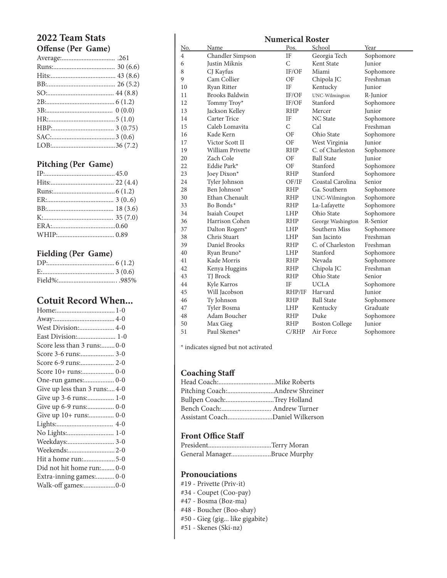#### **2022 Team Stats Offense (Per Game)**

#### **Pitching (Per Game)**

#### **Fielding (Per Game)**

### **Cotuit Record When...**

| West Division: 4-0           |
|------------------------------|
| East Division: 1-0           |
| Score less than 3 runs:0-0   |
|                              |
| Score 6-9 runs: 2-0          |
|                              |
|                              |
| Give up less than 3 runs:4-0 |
| Give up 3-6 runs: 1-0        |
| Give up 6-9 runs: 0-0        |
| Give up 10+ runs: 0-0        |
|                              |
| No Lights: 1-0               |
| Weekdays: 3-0                |
|                              |
| Hit a home run:5-0           |
| Did not hit home run:0-0     |
| Extra-inning games: 0-0      |
| Walk-off games:0-0           |

## **Numerical Roster**<br>Pos. School No. Name Pos. School Year 4 Chandler Simpson IF Georgia Tech Sophomore

| ÷  | линины оннроон        |               | $\overline{\phantom{a}}$ | $^{\circ}$ |
|----|-----------------------|---------------|--------------------------|------------|
| 6  | Justin Miknis         | $\mathcal{C}$ | Kent State               | Junior     |
| 8  | CJ Kayfus             | IF/OF         | Miami                    | Sophomore  |
| 9  | Cam Collier           | OF            | Chipola JC               | Freshman   |
| 10 | Ryan Ritter           | IF            | Kentucky                 | Junior     |
| 11 | <b>Brooks Baldwin</b> | IF/OF         | UNC-Wilmington           | R-Junior   |
| 12 | Tommy Troy*           | IF/OF         | Stanford                 | Sophomore  |
| 13 | Jackson Kelley        | <b>RHP</b>    | Mercer                   | Junior     |
| 14 | Carter Trice          | IF            | <b>NC</b> State          | Sophomore  |
| 15 | Caleb Lomavita        | $\mathcal{C}$ | Cal                      | Freshman   |
| 16 | Kade Kern             | OF            | Ohio State               | Sophomore  |
| 17 | Victor Scott II       | OF            | West Virginia            | Junior     |
| 19 | William Privette      | <b>RHP</b>    | C. of Charleston         | Sophomore  |
| 20 | Zach Cole             | OF            | <b>Ball State</b>        | Junior     |
| 22 | Eddie Park*           | OF            | Stanford                 | Sophomore  |
| 23 | Joey Dixon*           | <b>RHP</b>    | Stanford                 | Sophomore  |
| 24 | Tyler Johnson         | OF/IF         | Coastal Carolina         | Senior     |
| 28 | Ben Johnson*          | <b>RHP</b>    | Ga. Southern             | Sophomore  |
| 30 | Ethan Chenault        | <b>RHP</b>    | UNC-Wilmington           | Sophomore  |
| 33 | Bo Bonds*             | <b>RHP</b>    | La-Lafayette             | Sophomore  |
| 34 | Isaiah Coupet         | LHP           | Ohio State               | Sophomore  |
| 36 | Harrison Cohen        | <b>RHP</b>    | George Washington        | R-Senior   |
| 37 | Dalton Rogers*        | LHP           | Southern Miss            | Sophomore  |
| 38 | Chris Stuart          | LHP           | San Jacinto              | Freshman   |
| 39 | Daniel Brooks         | <b>RHP</b>    | C. of Charleston         | Freshman   |
| 40 | Ryan Bruno*           | <b>LHP</b>    | Stanford                 | Sophomore  |
| 41 | Kade Morris           | <b>RHP</b>    | Nevada                   | Sophomore  |
| 42 | Kenya Huggins         | <b>RHP</b>    | Chipola JC               | Freshman   |
| 43 | TJ Brock              | <b>RHP</b>    | Ohio State               | Senior     |
| 44 | Kyle Karros           | IF            | <b>UCLA</b>              | Sophomore  |
| 45 | Will Jacobson         | RHP/IF        | Harvard                  | Junior     |
| 46 | Ty Johnson            | <b>RHP</b>    | <b>Ball State</b>        | Sophomore  |
| 47 | Tyler Bosma           | <b>LHP</b>    | Kentucky                 | Graduate   |
| 48 | Adam Boucher          | <b>RHP</b>    | Duke                     | Sophomore  |
| 50 | Max Gieg              | <b>RHP</b>    | <b>Boston College</b>    | Junior     |
| 51 | Paul Skenes*          | C/RIP         | Air Force                | Sophomore  |
|    |                       |               |                          |            |

\* indicates signed but not activated

#### **Coaching Staff**

| Bullpen Coach:Trey Holland      |  |
|---------------------------------|--|
|                                 |  |
| Assistant CoachDaniel Wilkerson |  |

#### **Front Office Staff**

| General ManagerBruce Murphy |  |
|-----------------------------|--|

#### **Pronouciations**

- #19 Privette (Priv-it)
- #34 Coupet (Coo-pay)
- #47 Bosma (Boz-ma)
- #48 Boucher (Boo-shay)
- #50 Gieg (gig... like gigabite)
- #51 Skenes (Ski-nz)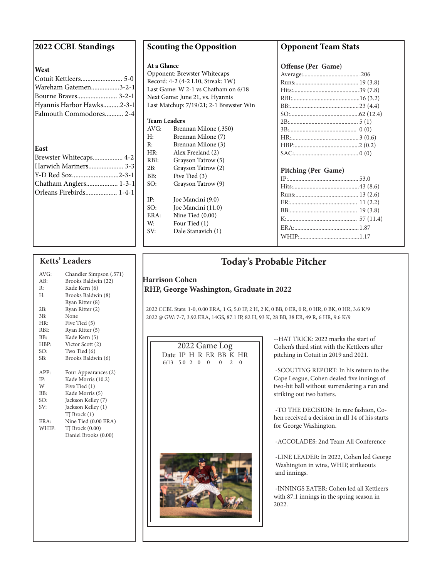| 2022 CCBL Standings       |  |
|---------------------------|--|
|                           |  |
| West                      |  |
| Cotuit Kettleers 5-0      |  |
| Wareham Gatemen3-2-1      |  |
| Bourne Braves 3-2-1       |  |
| Hyannis Harbor Hawks2-3-1 |  |
| Falmouth Commodores 2-4   |  |
|                           |  |
|                           |  |
|                           |  |
| East                      |  |
| Brewster Whitecaps 4-2    |  |
| Harwich Mariners 3-3      |  |
| Y-D Red Sox2-3-1          |  |
| Chatham Anglers 1-3-1     |  |
| Orleans Firebirds 1-4-1   |  |
|                           |  |
|                           |  |
|                           |  |

#### **Ketts' Leaders**

| AVG:  | Chandler Simpson (.571) |
|-------|-------------------------|
| AR:   | Brooks Baldwin (22)     |
| R:    | Kade Kern (6)           |
| Н:    | Brooks Baldwin (8)      |
|       | Ryan Ritter (8)         |
| 2B:   | Ryan Ritter (2)         |
| 3B:   | None                    |
| HR:   | Five Tied (5)           |
| RBI:  | Ryan Ritter (5)         |
| BB:   | Kade Kern (5)           |
| HBP:  | Victor Scott (2)        |
| SO:   | Two Tied (6)            |
| SB:   | Brooks Baldwin (6)      |
|       |                         |
|       |                         |
| APP:  | Four Appearances (2)    |
| IP:   | Kade Morris (10.2)      |
| W     | Five Tied (1)           |
| BB:   | Kade Morris (5)         |
| SO:   | Jackson Kelley (7)      |
| .SV:  | Jackson Kelley (1)      |
|       | TJ Brock (1)            |
| ERA:  | Nine Tied (0.00 ERA)    |
| WHIP: | TJ Brock (0.00)         |
|       | Daniel Brooks (0.00)    |
|       |                         |
|       |                         |

#### **Scouting the Opposition**

#### **At a Glance**

Opponent: Brewster Whitecaps Record: 4-2 (4-2 L10, Streak: 1W) Last Game: W 2-1 vs Chatham on 6/18 Next Game: June 21, vs. Hyannis Last Matchup: 7/19/21; 2-1 Brewster Win

#### **Team Leaders**

| AVG: | Brennan Milone (.350) |
|------|-----------------------|
| H:   | Brennan Milone (7)    |
| R:   | Brennan Milone (3)    |
| HR:  | Alex Freeland (2)     |
| RBI: | Grayson Tatrow (5)    |
| 2B:  | Grayson Tatrow (2)    |
| BB:  | Five Tied (3)         |
| SO:  | Grayson Tatrow (9)    |
| IP:  | Joe Mancini (9.0)     |
| SO:  | Joe Mancini (11.0)    |
| ERA: | Nine Tied (0.00)      |
| W:   | Four Tied (1)         |
| SV:  | Dale Stanavich (1)    |
|      |                       |

#### **Opponent Team Stats**

| Offense (Per Game) |  |  |  |
|--------------------|--|--|--|
|                    |  |  |  |
|                    |  |  |  |
|                    |  |  |  |
|                    |  |  |  |
|                    |  |  |  |
|                    |  |  |  |
|                    |  |  |  |
|                    |  |  |  |
|                    |  |  |  |
|                    |  |  |  |
|                    |  |  |  |

#### **Pitching (Per Game)**

### **Today's Probable Pitcher**

#### **Harrison Cohen RHP, George Washington, Graduate in 2022**

 2022 CCBL Stats: 1-0, 0.00 ERA, 1 G, 5.0 IP, 2 H, 2 K, 0 BB, 0 ER, 0 R, 0 HR, 0 BK, 0 HR, 3.6 K/9 2022 @ GW: 7-7, 3.92 ERA, 14GS, 87.1 IP, 82 H, 93 K, 28 BB, 38 ER, 49 R, 6 HR, 9.6 K/9

| $2022$ Game Log |                        |  |  |  |  |  |
|-----------------|------------------------|--|--|--|--|--|
|                 | Date IP H R ER BB K HR |  |  |  |  |  |
|                 | $6/13$ 5.0 2 0 0 0 2 0 |  |  |  |  |  |
|                 |                        |  |  |  |  |  |
|                 |                        |  |  |  |  |  |
|                 |                        |  |  |  |  |  |
|                 |                        |  |  |  |  |  |
|                 |                        |  |  |  |  |  |
|                 |                        |  |  |  |  |  |
|                 |                        |  |  |  |  |  |
|                 |                        |  |  |  |  |  |



--HAT TRICK: 2022 marks the start of Cohen's third stint with the Kettleers after pitching in Cotuit in 2019 and 2021.

 -SCOUTING REPORT: In his return to the Cape League, Cohen dealed five innings of two-hit ball without surrendering a run and striking out two batters.

 -TO THE DECISION: In rare fashion, Cohen received a decision in all 14 of his starts for George Washington.

-ACCOLADES: 2nd Team All Conference

 -LINE LEADER: In 2022, Cohen led George Washington in wins, WHIP, strikeouts and innings.

 -INNINGS EATER: Cohen led all Kettleers with 87.1 innings in the spring season in 2022.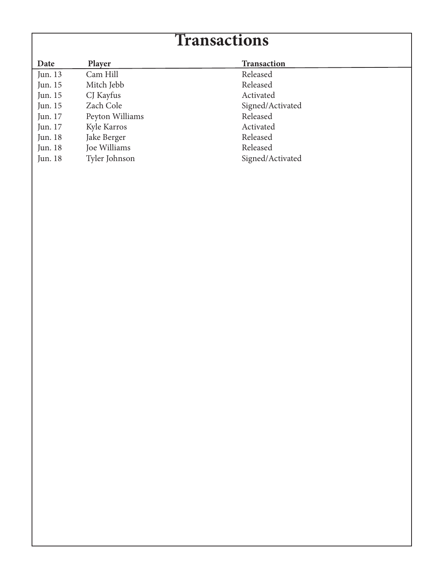## **Transactions**

| Date    | <b>Player</b>   | <b>Transaction</b> |
|---------|-----------------|--------------------|
| Jun. 13 | Cam Hill        | Released           |
| Jun. 15 | Mitch Jebb      | Released           |
| Jun. 15 | CJ Kayfus       | Activated          |
| Jun. 15 | Zach Cole       | Signed/Activated   |
| Jun. 17 | Peyton Williams | Released           |
| Jun. 17 | Kyle Karros     | Activated          |
| Jun. 18 | Jake Berger     | Released           |
| Jun. 18 | Joe Williams    | Released           |
| Jun. 18 | Tyler Johnson   | Signed/Activated   |